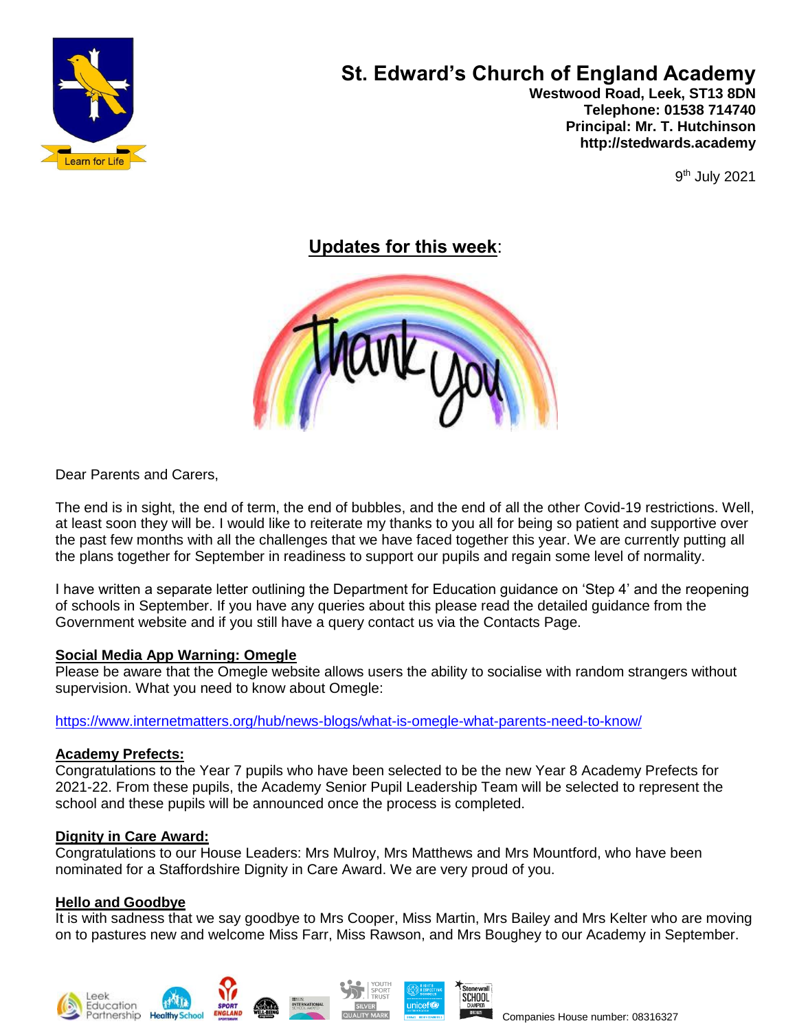

# **St. Edward's Church of England Academy**

 **Westwood Road, Leek, ST13 8DN Telephone: 01538 714740 Principal: Mr. T. Hutchinson http://stedwards.academy**

9<sup>th</sup> July 2021

**Updates for this week**:



Dear Parents and Carers,

The end is in sight, the end of term, the end of bubbles, and the end of all the other Covid-19 restrictions. Well, at least soon they will be. I would like to reiterate my thanks to you all for being so patient and supportive over the past few months with all the challenges that we have faced together this year. We are currently putting all the plans together for September in readiness to support our pupils and regain some level of normality.

I have written a separate letter outlining the Department for Education guidance on 'Step 4' and the reopening of schools in September. If you have any queries about this please read the detailed guidance from the Government website and if you still have a query contact us via the Contacts Page.

#### **Social Media App Warning: Omegle**

Please be aware that the Omegle website allows users the ability to socialise with random strangers without supervision. What you need to know about Omegle:

<https://www.internetmatters.org/hub/news-blogs/what-is-omegle-what-parents-need-to-know/>

#### **Academy Prefects:**

Congratulations to the Year 7 pupils who have been selected to be the new Year 8 Academy Prefects for 2021-22. From these pupils, the Academy Senior Pupil Leadership Team will be selected to represent the school and these pupils will be announced once the process is completed.

#### **Dignity in Care Award:**

Congratulations to our House Leaders: Mrs Mulroy, Mrs Matthews and Mrs Mountford, who have been nominated for a Staffordshire Dignity in Care Award. We are very proud of you.

#### **Hello and Goodbye**

It is with sadness that we say goodbye to Mrs Cooper, Miss Martin, Mrs Bailey and Mrs Kelter who are moving on to pastures new and welcome Miss Farr, Miss Rawson, and Mrs Boughey to our Academy in September.









**SCHOOL**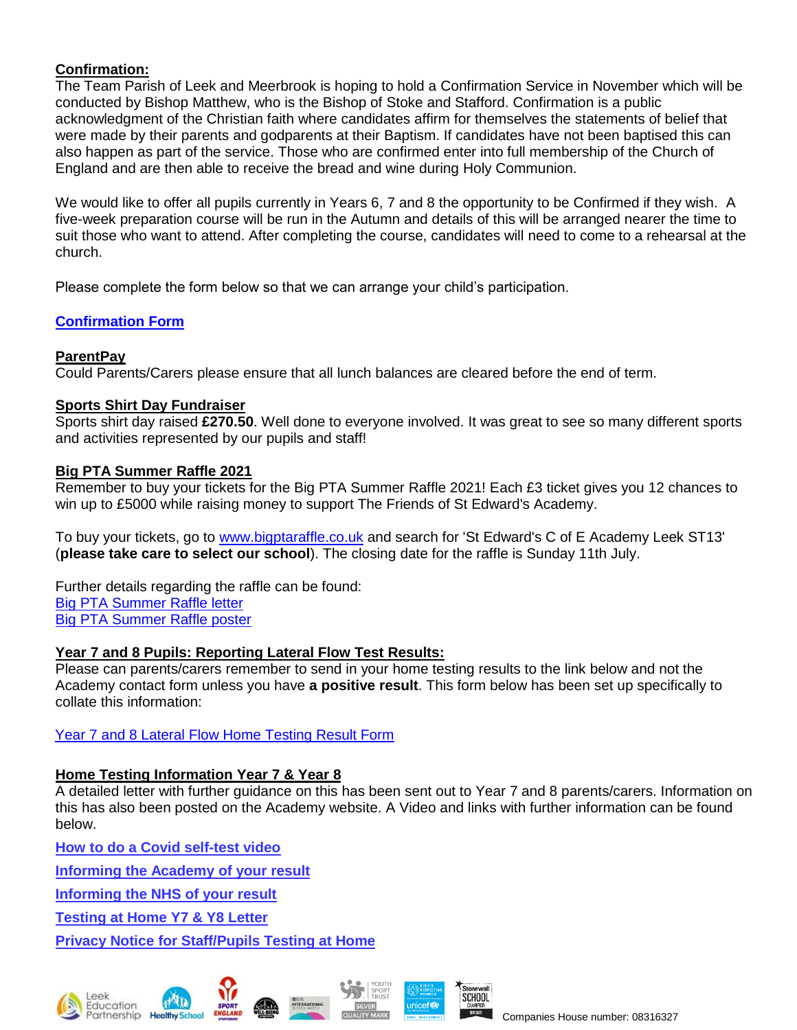#### **Confirmation:**

The Team Parish of Leek and Meerbrook is hoping to hold a Confirmation Service in November which will be conducted by Bishop Matthew, who is the Bishop of Stoke and Stafford. Confirmation is a public acknowledgment of the Christian faith where candidates affirm for themselves the statements of belief that were made by their parents and godparents at their Baptism. If candidates have not been baptised this can also happen as part of the service. Those who are confirmed enter into full membership of the Church of England and are then able to receive the bread and wine during Holy Communion.

We would like to offer all pupils currently in Years 6, 7 and 8 the opportunity to be Confirmed if they wish. A five-week preparation course will be run in the Autumn and details of this will be arranged nearer the time to suit those who want to attend. After completing the course, candidates will need to come to a rehearsal at the church.

Please complete the form below so that we can arrange your child's participation.

# **[Confirmation Form](https://forms.office.com/Pages/ResponsePage.aspx?id=1fhjb3KZgUuT_NXvEhdWcKayiLvXvodDpRcCWau7pr1UOTBHRDBLQjVYN0NTVkJRR0VDTkRSV0NENy4u)**

#### **ParentPay**

Could Parents/Carers please ensure that all lunch balances are cleared before the end of term.

#### **Sports Shirt Day Fundraiser**

Sports shirt day raised **£270.50**. Well done to everyone involved. It was great to see so many different sports and activities represented by our pupils and staff!

#### **Big PTA Summer Raffle 2021**

Remember to buy your tickets for the Big PTA Summer Raffle 2021! Each £3 ticket gives you 12 chances to win up to £5000 while raising money to support The Friends of St Edward's Academy.

To buy your tickets, go to [www.bigptaraffle.co.uk](http://www.bigptaraffle.co.uk/) and search for 'St Edward's C of E Academy Leek ST13' (**please take care to select our school**). The closing date for the raffle is Sunday 11th July.

Further details regarding the raffle can be found: Big PTA [Summer](https://www.stedwards.academy/admin/ckfinder/userfiles/files/Big%20PTA%20Summer%20Raffle%202021%20letter.pdf) Raffle letter Big PTA [Summer](https://www.stedwards.academy/admin/ckfinder/userfiles/files/Big%20PTA%20Summer%20Raffle%202021%20poster.pdf) Raffle poster

#### **Year 7 and 8 Pupils: Reporting Lateral Flow Test Results:**

Please can parents/carers remember to send in your home testing results to the link below and not the Academy contact form unless you have **a positive result**. This form below has been set up specifically to collate this information:

[Year 7 and 8 Lateral Flow Home Testing Result Form](https://forms.office.com/Pages/ResponsePage.aspx?id=1fhjb3KZgUuT_NXvEhdWcKayiLvXvodDpRcCWau7pr1UMk9UNVBUMDE3R01YWVZVV1MwTEtDVzQ5Si4u)

## **Home Testing Information Year 7 & Year 8**

A detailed letter with further guidance on this has been sent out to Year 7 and 8 parents/carers. Information on this has also been posted on the Academy website. A Video and links with further information can be found below.

**How to do a Covid [self-test](https://www.youtube.com/watch?v=S9XR8RZxKNo&list=PLvaBZskxS7tzQYlVg7lwH5uxAD9UrSzGJ&index=2) video**

**[Informing](https://forms.office.com/Pages/ResponsePage.aspx?id=1fhjb3KZgUuT_NXvEhdWcKayiLvXvodDpRcCWau7pr1UMk9UNVBUMDE3R01YWVZVV1MwTEtDVzQ5Si4u) the Academy of your result**

**[Informing](https://www.gov.uk/report-covid19-result) the NHS of your result**

**[Testing](https://www.stedwards.academy/admin/ckfinder/userfiles/files/Testing%20pupils%20at%20home%20kits%20letter.pdf) at Home Y7 & Y8 Letter**

**Privacy Notice for [Staff/Pupils](https://www.stedwards.academy/admin/ckfinder/userfiles/files/Privacy%20Notice%20%20for%20Staff%20-%20%20Pupils%20test%20at%20home.pdf) Testing at Home**